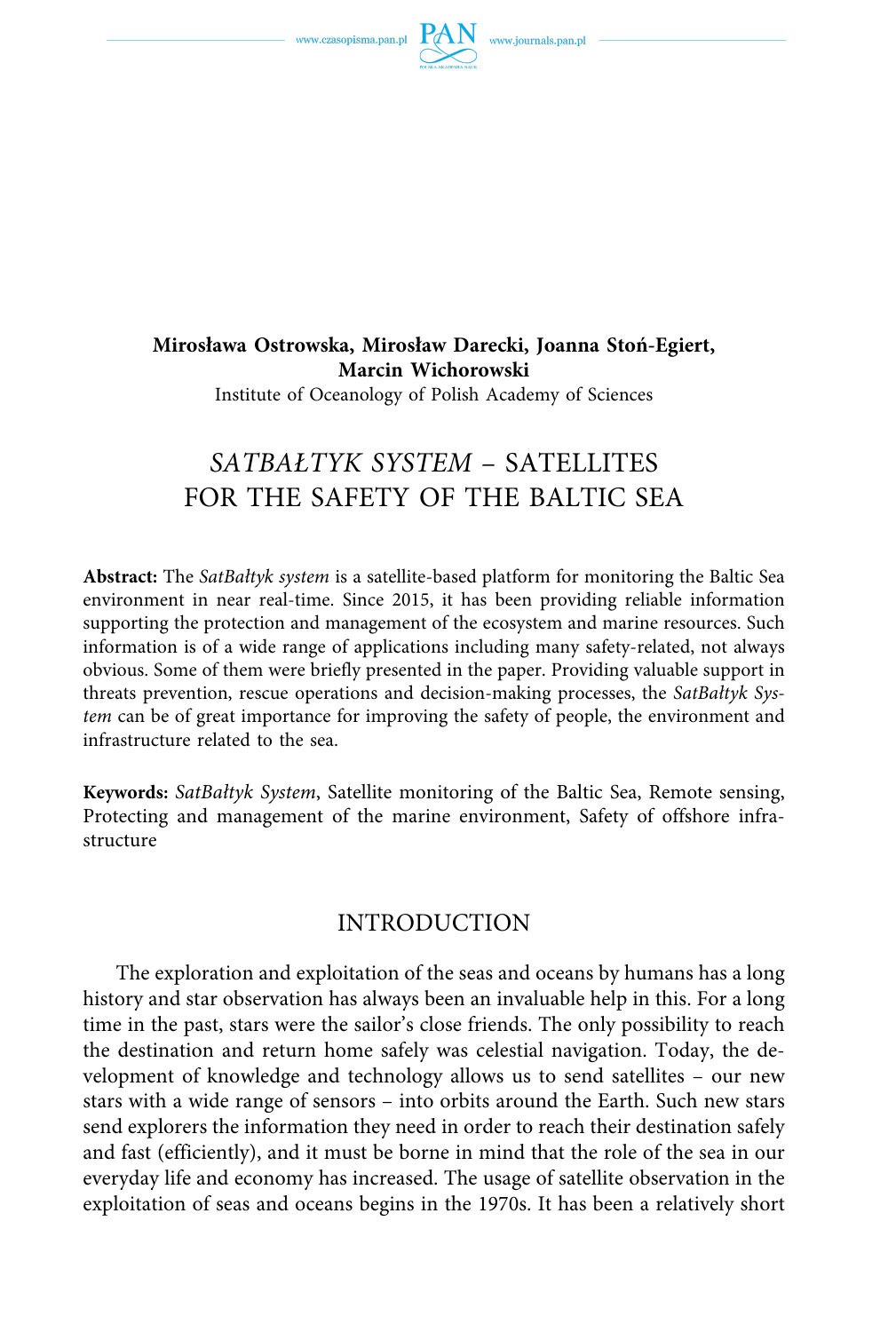

Institute of Oceanology of Polish Academy of Sciences

# *SATBAŁTYK SYSTEM* – SATELLITES FOR THE SAFETY OF THE BALTIC SEA

**Abstract:** The *SatBałtyk system* is a satellite-based platform for monitoring the Baltic Sea environment in near real-time. Since 2015, it has been providing reliable information supporting the protection and management of the ecosystem and marine resources. Such information is of a wide range of applications including many safety-related, not always obvious. Some of them were briefly presented in the paper. Providing valuable support in threats prevention, rescue operations and decision-making processes, the *SatBałtyk System* can be of great importance for improving the safety of people, the environment and infrastructure related to the sea.

**Keywords:** *SatBałtyk System*, Satellite monitoring of the Baltic Sea, Remote sensing, Protecting and management of the marine environment, Safety of offshore infrastructure

## INTRODUCTION

The exploration and exploitation of the seas and oceans by humans has a long history and star observation has always been an invaluable help in this. For a long time in the past, stars were the sailor's close friends. The only possibility to reach the destination and return home safely was celestial navigation. Today, the development of knowledge and technology allows us to send satellites – our new stars with a wide range of sensors – into orbits around the Earth. Such new stars send explorers the information they need in order to reach their destination safely and fast (efficiently), and it must be borne in mind that the role of the sea in our everyday life and economy has increased. The usage of satellite observation in the exploitation of seas and oceans begins in the 1970s. It has been a relatively short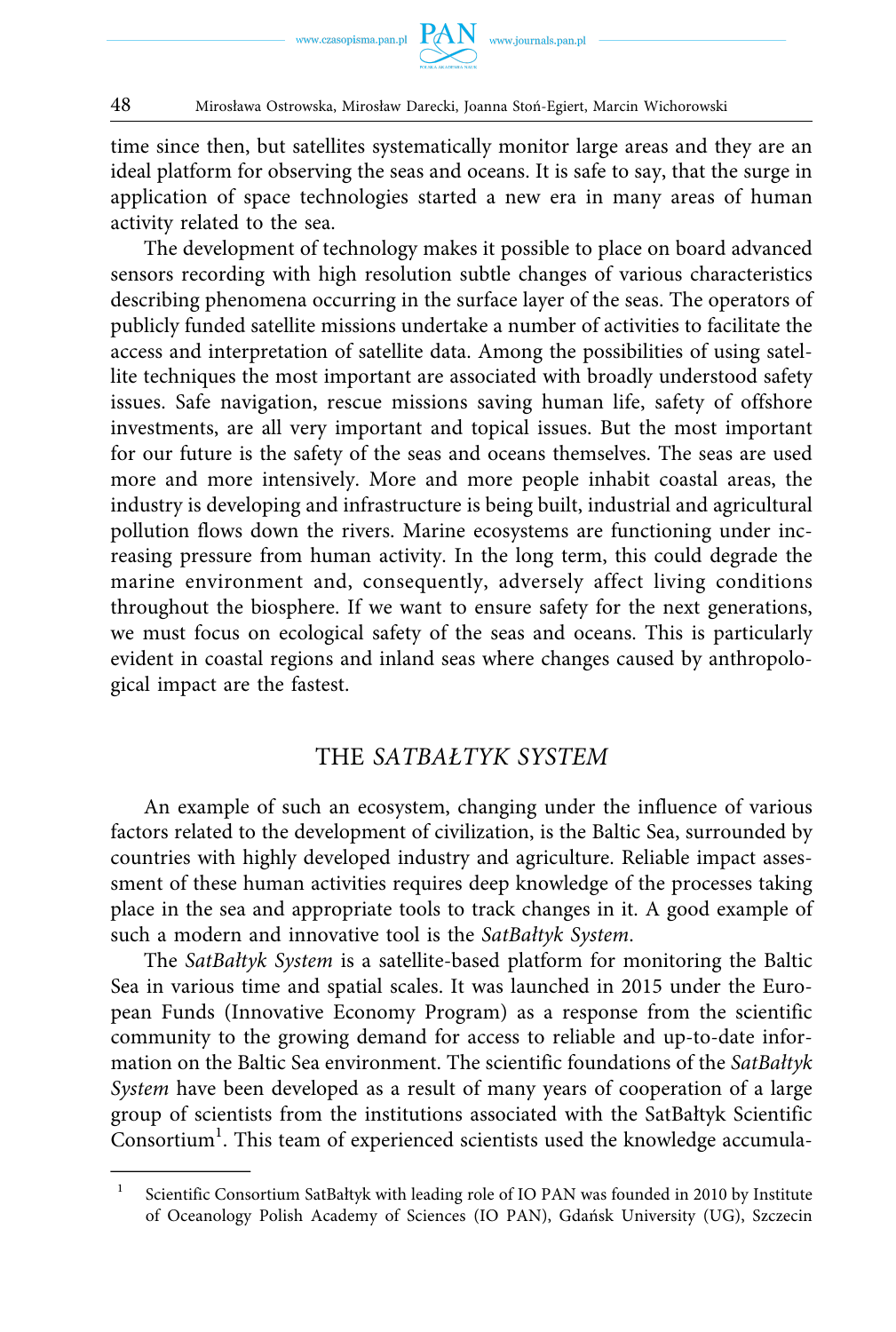

time since then, but satellites systematically monitor large areas and they are an ideal platform for observing the seas and oceans. It is safe to say, that the surge in application of space technologies started a new era in many areas of human activity related to the sea.

The development of technology makes it possible to place on board advanced sensors recording with high resolution subtle changes of various characteristics describing phenomena occurring in the surface layer of the seas. The operators of publicly funded satellite missions undertake a number of activities to facilitate the access and interpretation of satellite data. Among the possibilities of using satellite techniques the most important are associated with broadly understood safety issues. Safe navigation, rescue missions saving human life, safety of offshore investments, are all very important and topical issues. But the most important for our future is the safety of the seas and oceans themselves. The seas are used more and more intensively. More and more people inhabit coastal areas, the industry is developing and infrastructure is being built, industrial and agricultural pollution flows down the rivers. Marine ecosystems are functioning under increasing pressure from human activity. In the long term, this could degrade the marine environment and, consequently, adversely affect living conditions throughout the biosphere. If we want to ensure safety for the next generations, we must focus on ecological safety of the seas and oceans. This is particularly evident in coastal regions and inland seas where changes caused by anthropological impact are the fastest.

# THE *SATBAŁTYK SYSTEM*

An example of such an ecosystem, changing under the influence of various factors related to the development of civilization, is the Baltic Sea, surrounded by countries with highly developed industry and agriculture. Reliable impact assessment of these human activities requires deep knowledge of the processes taking place in the sea and appropriate tools to track changes in it. A good example of such a modern and innovative tool is the *SatBałtyk System*.

The *SatBałtyk System* is a satellite-based platform for monitoring the Baltic Sea in various time and spatial scales. It was launched in 2015 under the European Funds (Innovative Economy Program) as a response from the scientific community to the growing demand for access to reliable and up-to-date information on the Baltic Sea environment. The scientific foundations of the *SatBałtyk System* have been developed as a result of many years of cooperation of a large group of scientists from the institutions associated with the SatBałtyk Scientific Consortium<sup>1</sup>. This team of experienced scientists used the knowledge accumula-

<sup>1</sup> Scientific Consortium SatBałtyk with leading role of IO PAN was founded in 2010 by Institute of Oceanology Polish Academy of Sciences (IO PAN), Gdańsk University (UG), Szczecin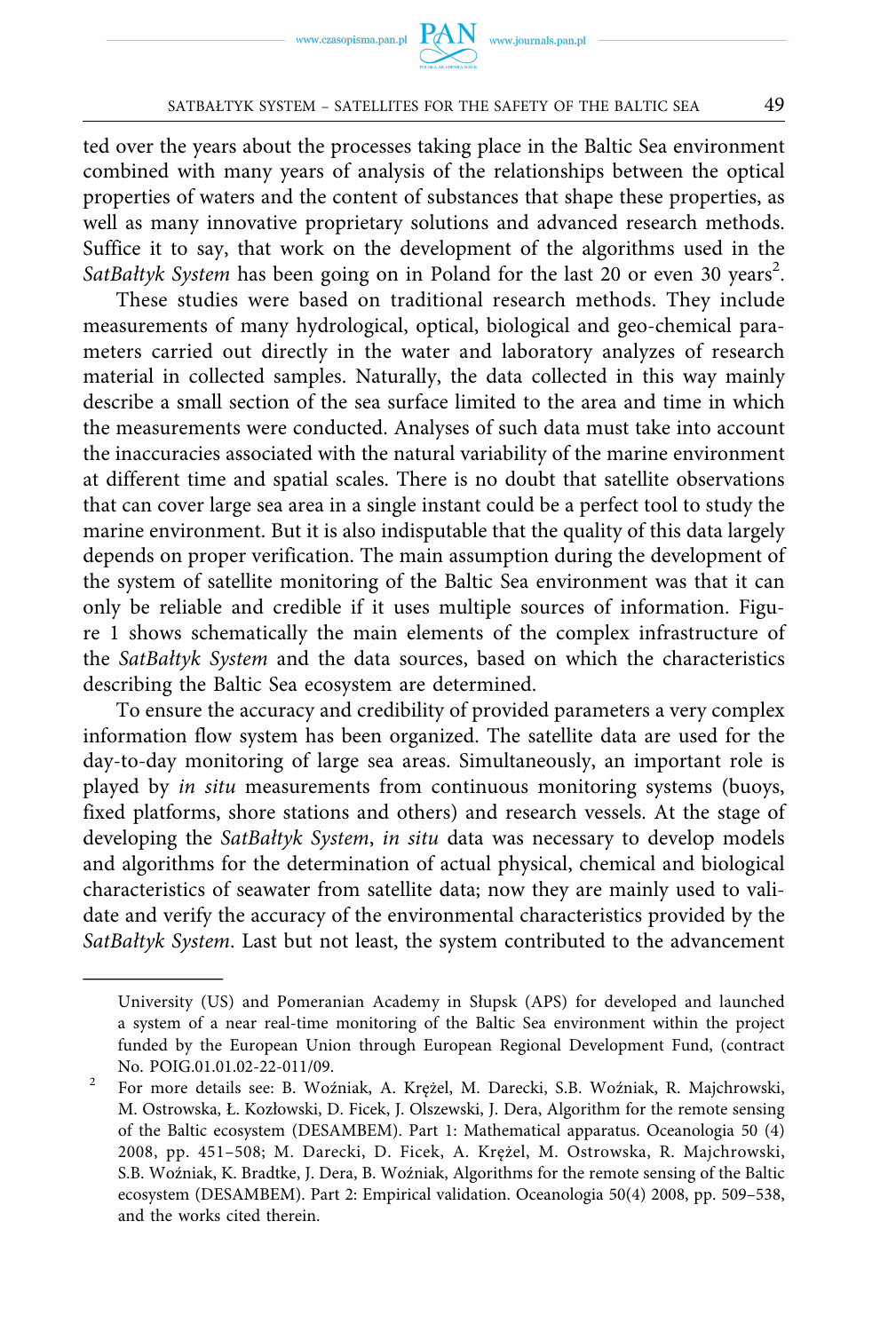ted over the years about the processes taking place in the Baltic Sea environment combined with many years of analysis of the relationships between the optical properties of waters and the content of substances that shape these properties, as well as many innovative proprietary solutions and advanced research methods. Suffice it to say, that work on the development of the algorithms used in the SatBałtyk System has been going on in Poland for the last 20 or even 30 years<sup>2</sup>.

These studies were based on traditional research methods. They include measurements of many hydrological, optical, biological and geo-chemical parameters carried out directly in the water and laboratory analyzes of research material in collected samples. Naturally, the data collected in this way mainly describe a small section of the sea surface limited to the area and time in which the measurements were conducted. Analyses of such data must take into account the inaccuracies associated with the natural variability of the marine environment at different time and spatial scales. There is no doubt that satellite observations that can cover large sea area in a single instant could be a perfect tool to study the marine environment. But it is also indisputable that the quality of this data largely depends on proper verification. The main assumption during the development of the system of satellite monitoring of the Baltic Sea environment was that it can only be reliable and credible if it uses multiple sources of information. Figure 1 shows schematically the main elements of the complex infrastructure of the *SatBałtyk System* and the data sources, based on which the characteristics describing the Baltic Sea ecosystem are determined.

To ensure the accuracy and credibility of provided parameters a very complex information flow system has been organized. The satellite data are used for the day-to-day monitoring of large sea areas. Simultaneously, an important role is played by *in situ* measurements from continuous monitoring systems (buoys, fixed platforms, shore stations and others) and research vessels. At the stage of developing the *SatBałtyk System*, *in situ* data was necessary to develop models and algorithms for the determination of actual physical, chemical and biological characteristics of seawater from satellite data; now they are mainly used to validate and verify the accuracy of the environmental characteristics provided by the *SatBałtyk System*. Last but not least, the system contributed to the advancement

University (US) and Pomeranian Academy in Słupsk (APS) for developed and launched a system of a near real-time monitoring of the Baltic Sea environment within the project funded by the European Union through European Regional Development Fund, (contract No. POIG.01.01.02-22-011/09. 2 For more details see: B. Woźniak, A. Krężel, M. Darecki, S.B. Woźniak, R. Majchrowski,

M. Ostrowska, Ł. Kozłowski, D. Ficek, J. Olszewski, J. Dera, Algorithm for the remote sensing of the Baltic ecosystem (DESAMBEM). Part 1: Mathematical apparatus. Oceanologia 50 (4) 2008, pp. 451–508; M. Darecki, D. Ficek, A. Krężel, M. Ostrowska, R. Majchrowski, S.B. Woźniak, K. Bradtke, J. Dera, B. Woźniak, Algorithms for the remote sensing of the Baltic ecosystem (DESAMBEM). Part 2: Empirical validation. Oceanologia 50(4) 2008, pp. 509–538, and the works cited therein.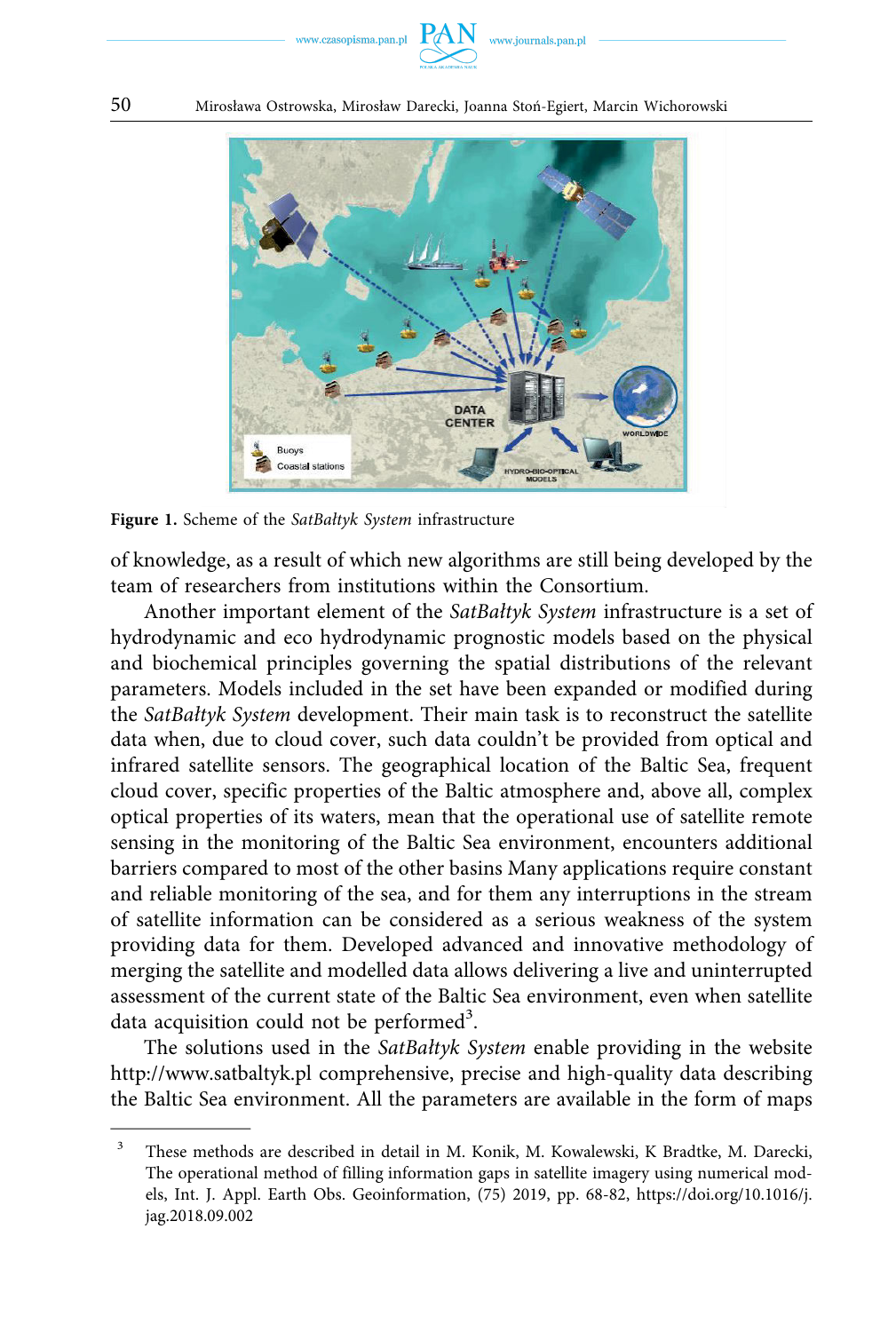www.czasopisma.pan.pl



50 Mirosława Ostrowska, Mirosław Darecki, Joanna Stoń-Egiert, Marcin Wichorowski



**Figure 1.** Scheme of the *SatBałtyk System* infrastructure

of knowledge, as a result of which new algorithms are still being developed by the team of researchers from institutions within the Consortium.

Another important element of the *SatBałtyk System* infrastructure is a set of hydrodynamic and eco hydrodynamic prognostic models based on the physical and biochemical principles governing the spatial distributions of the relevant parameters. Models included in the set have been expanded or modified during the *SatBałtyk System* development. Their main task is to reconstruct the satellite data when, due to cloud cover, such data couldn't be provided from optical and infrared satellite sensors. The geographical location of the Baltic Sea, frequent cloud cover, specific properties of the Baltic atmosphere and, above all, complex optical properties of its waters, mean that the operational use of satellite remote sensing in the monitoring of the Baltic Sea environment, encounters additional barriers compared to most of the other basins Many applications require constant and reliable monitoring of the sea, and for them any interruptions in the stream of satellite information can be considered as a serious weakness of the system providing data for them. Developed advanced and innovative methodology of merging the satellite and modelled data allows delivering a live and uninterrupted assessment of the current state of the Baltic Sea environment, even when satellite data acquisition could not be performed<sup>3</sup>.

The solutions used in the *SatBałtyk System* enable providing in the website <http://www.satbaltyk.pl>comprehensive, precise and high-quality data describing the Baltic Sea environment. All the parameters are available in the form of maps

<sup>&</sup>lt;sup>3</sup> These methods are described in detail in M. Konik, M. Kowalewski, K Bradtke, M. Darecki, The operational method of filling information gaps in satellite imagery using numerical models, Int. J. Appl. Earth Obs. Geoinformation, (75) 2019, pp. 68-82, [https://doi.org/10.1016/j.](https://doi.org/10.1016/j.jag.2018.09.002)  [jag.2018.09.002](https://doi.org/10.1016/j.jag.2018.09.002)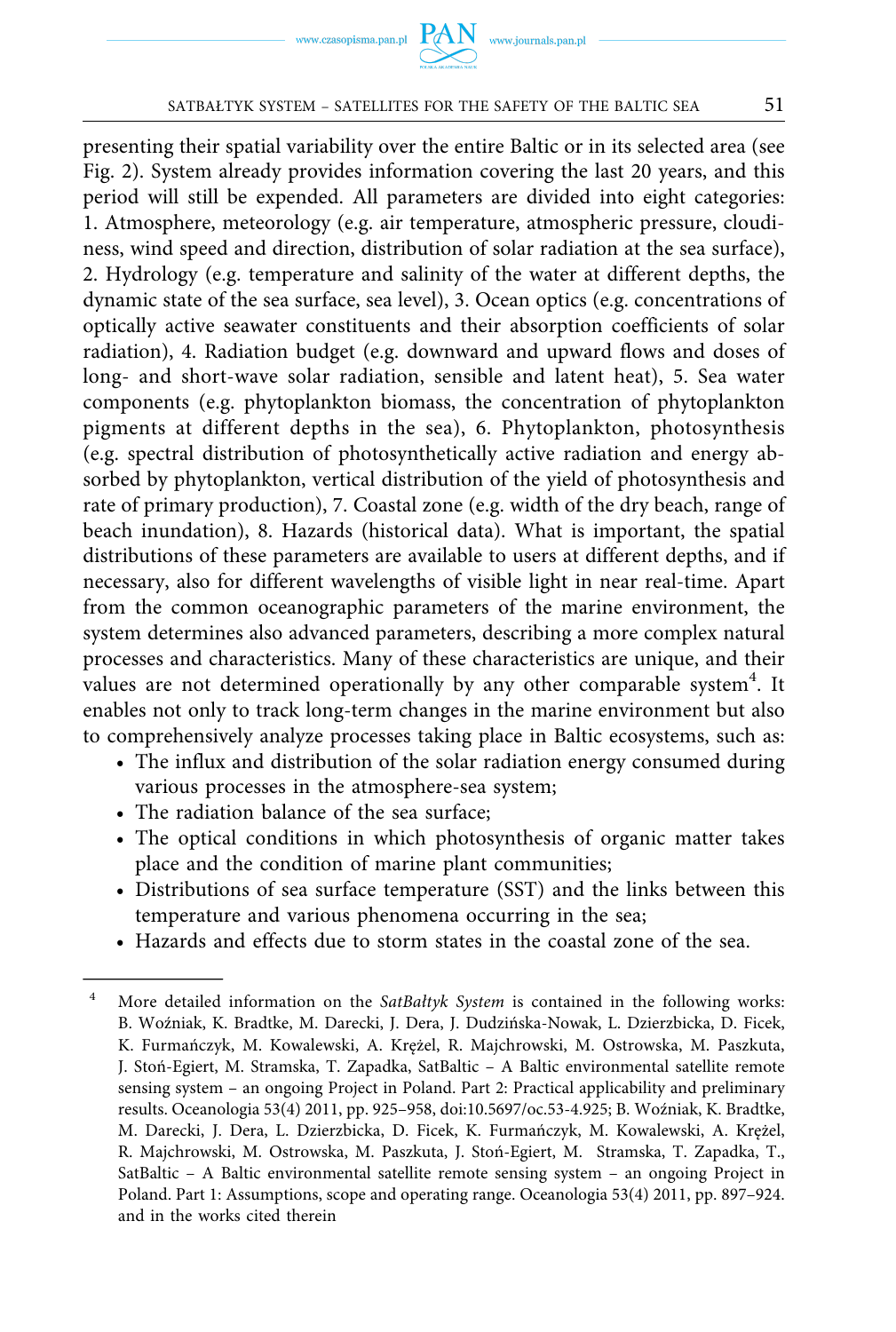#### SATBAŁTYK SYSTEM – SATELLITES FOR THE SAFETY OF THE BALTIC SEA 51

presenting their spatial variability over the entire Baltic or in its selected area (see Fig. 2). System already provides information covering the last 20 years, and this period will still be expended. All parameters are divided into eight categories: 1. Atmosphere, meteorology (e.g. air temperature, atmospheric pressure, cloudiness, wind speed and direction, distribution of solar radiation at the sea surface), 2. Hydrology (e.g. temperature and salinity of the water at different depths, the dynamic state of the sea surface, sea level), 3. Ocean optics (e.g. concentrations of optically active seawater constituents and their absorption coefficients of solar radiation), 4. Radiation budget (e.g. downward and upward flows and doses of long- and short-wave solar radiation, sensible and latent heat), 5. Sea water components (e.g. phytoplankton biomass, the concentration of phytoplankton pigments at different depths in the sea), 6. Phytoplankton, photosynthesis (e.g. spectral distribution of photosynthetically active radiation and energy absorbed by phytoplankton, vertical distribution of the yield of photosynthesis and rate of primary production), 7. Coastal zone (e.g. width of the dry beach, range of beach inundation), 8. Hazards (historical data). What is important, the spatial distributions of these parameters are available to users at different depths, and if necessary, also for different wavelengths of visible light in near real-time. Apart from the common oceanographic parameters of the marine environment, the system determines also advanced parameters, describing a more complex natural processes and characteristics. Many of these characteristics are unique, and their values are not determined operationally by any other comparable system $^4$ . It enables not only to track long-term changes in the marine environment but also to comprehensively analyze processes taking place in Baltic ecosystems, such as:

- The influx and distribution of the solar radiation energy consumed during various processes in the atmosphere-sea system;
- The radiation balance of the sea surface;
- The optical conditions in which photosynthesis of organic matter takes place and the condition of marine plant communities;
- Distributions of sea surface temperature (SST) and the links between this temperature and various phenomena occurring in the sea;
- Hazards and effects due to storm states in the coastal zone of the sea.

<sup>4</sup> More detailed information on the *SatBałtyk System* is contained in the following works: B. Woźniak, K. Bradtke, M. Darecki, J. Dera, J. Dudzińska-Nowak, L. Dzierzbicka, D. Ficek, K. Furmańczyk, M. Kowalewski, A. Krężel, R. Majchrowski, M. Ostrowska, M. Paszkuta, J. Stoń-Egiert, M. Stramska, T. Zapadka, SatBaltic – A Baltic environmental satellite remote sensing system – an ongoing Project in Poland. Part 2: Practical applicability and preliminary results. Oceanologia 53(4) 2011, pp. 925–958, doi:10.5697/oc.53-4.925; B. Woźniak, K. Bradtke, M. Darecki, J. Dera, L. Dzierzbicka, D. Ficek, K. Furmańczyk, M. Kowalewski, A. Krężel, R. Majchrowski, M. Ostrowska, M. Paszkuta, J. Stoń-Egiert, M. Stramska, T. Zapadka, T., SatBaltic – A Baltic environmental satellite remote sensing system – an ongoing Project in Poland. Part 1: Assumptions, scope and operating range. Oceanologia 53(4) 2011, pp. 897–924. and in the works cited therein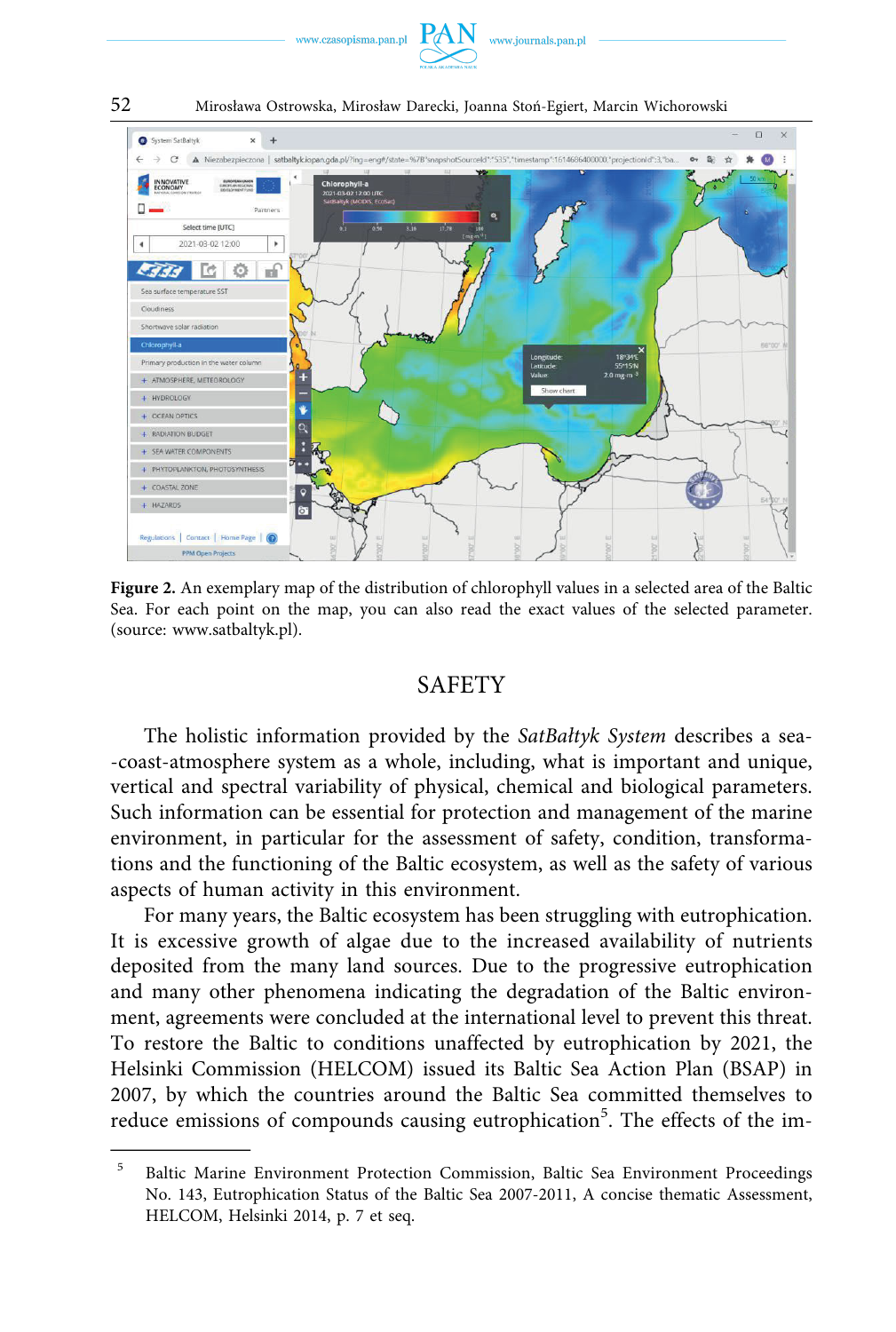



52 Mirosława Ostrowska, Mirosław Darecki, Joanna Stoń-Egiert, Marcin Wichorowski

**Figure 2.** An exemplary map of the distribution of chlorophyll values in a selected area of the Baltic Sea. For each point on the map, you can also read the exact values of the selected parameter. (source: www.satbaltyk.pl).

#### **SAFETY**

The holistic information provided by the *SatBałtyk System* describes a sea- -coast-atmosphere system as a whole, including, what is important and unique, vertical and spectral variability of physical, chemical and biological parameters. Such information can be essential for protection and management of the marine environment, in particular for the assessment of safety, condition, transformations and the functioning of the Baltic ecosystem, as well as the safety of various aspects of human activity in this environment.

For many years, the Baltic ecosystem has been struggling with eutrophication. It is excessive growth of algae due to the increased availability of nutrients deposited from the many land sources. Due to the progressive eutrophication and many other phenomena indicating the degradation of the Baltic environment, agreements were concluded at the international level to prevent this threat. To restore the Baltic to conditions unaffected by eutrophication by 2021, the Helsinki Commission (HELCOM) issued its Baltic Sea Action Plan (BSAP) in 2007, by which the countries around the Baltic Sea committed themselves to reduce emissions of compounds causing eutrophication<sup>5</sup>. The effects of the im-

<sup>5</sup> Baltic Marine Environment Protection Commission, Baltic Sea Environment Proceedings No. 143, Eutrophication Status of the Baltic Sea 2007-2011, A concise thematic Assessment, HELCOM, Helsinki 2014, p. 7 et seq.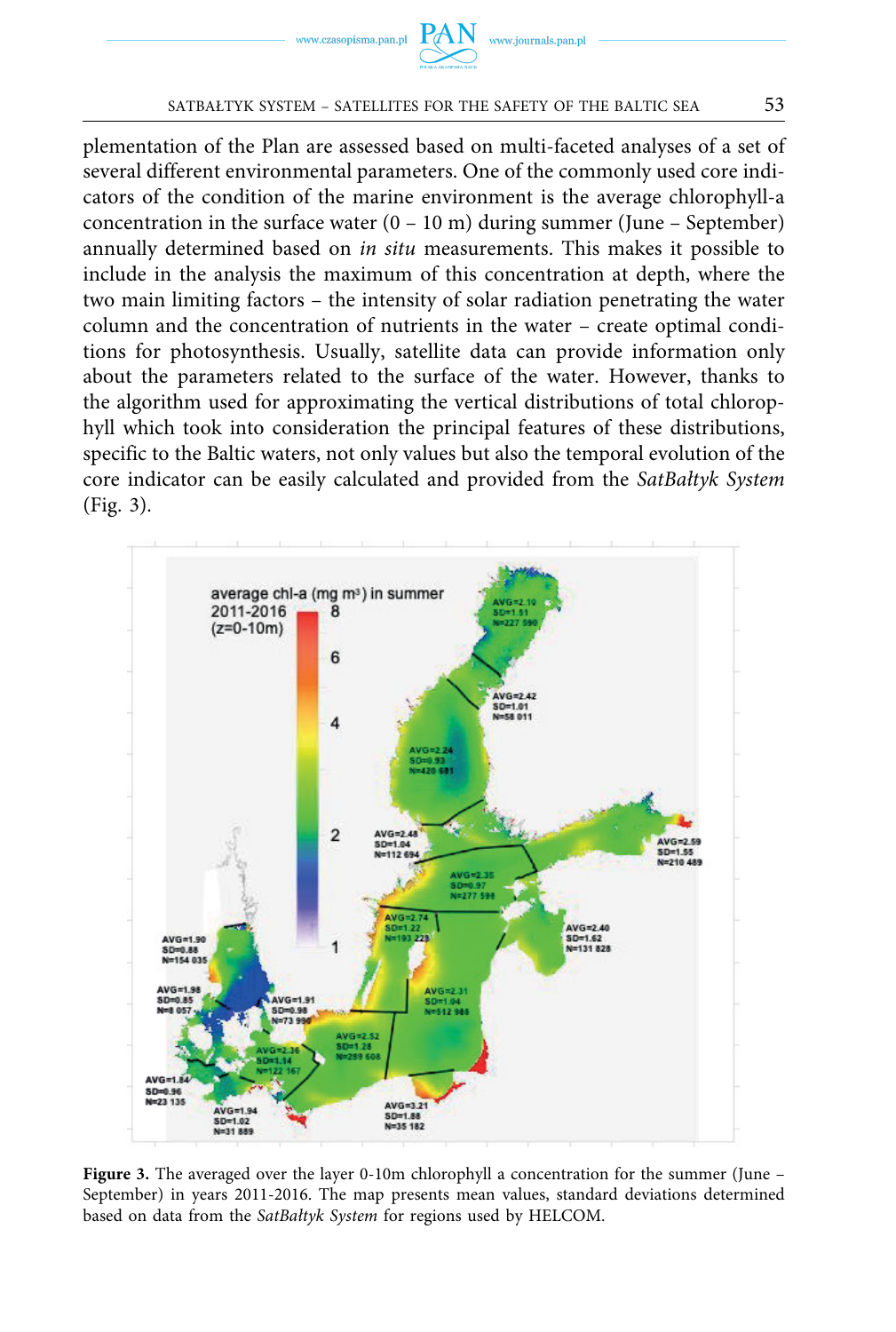



#### SATBAŁTYK SYSTEM – SATELLITES FOR THE SAFETY OF THE BALTIC SEA 53

plementation of the Plan are assessed based on multi-faceted analyses of a set of several different environmental parameters. One of the commonly used core indicators of the condition of the marine environment is the average chlorophyll-a concentration in the surface water  $(0 - 10 \text{ m})$  during summer (June – September) annually determined based on *in situ* measurements. This makes it possible to include in the analysis the maximum of this concentration at depth, where the two main limiting factors – the intensity of solar radiation penetrating the water column and the concentration of nutrients in the water – create optimal conditions for photosynthesis. Usually, satellite data can provide information only about the parameters related to the surface of the water. However, thanks to the algorithm used for approximating the vertical distributions of total chlorophyll which took into consideration the principal features of these distributions, specific to the Baltic waters, not only values but also the temporal evolution of the core indicator can be easily calculated and provided from the *SatBałtyk System*  (Fig. 3).



**Figure 3.** The averaged over the layer 0-10m chlorophyll a concentration for the summer (June – September) in years 2011-2016. The map presents mean values, standard deviations determined based on data from the *SatBałtyk System* for regions used by HELCOM.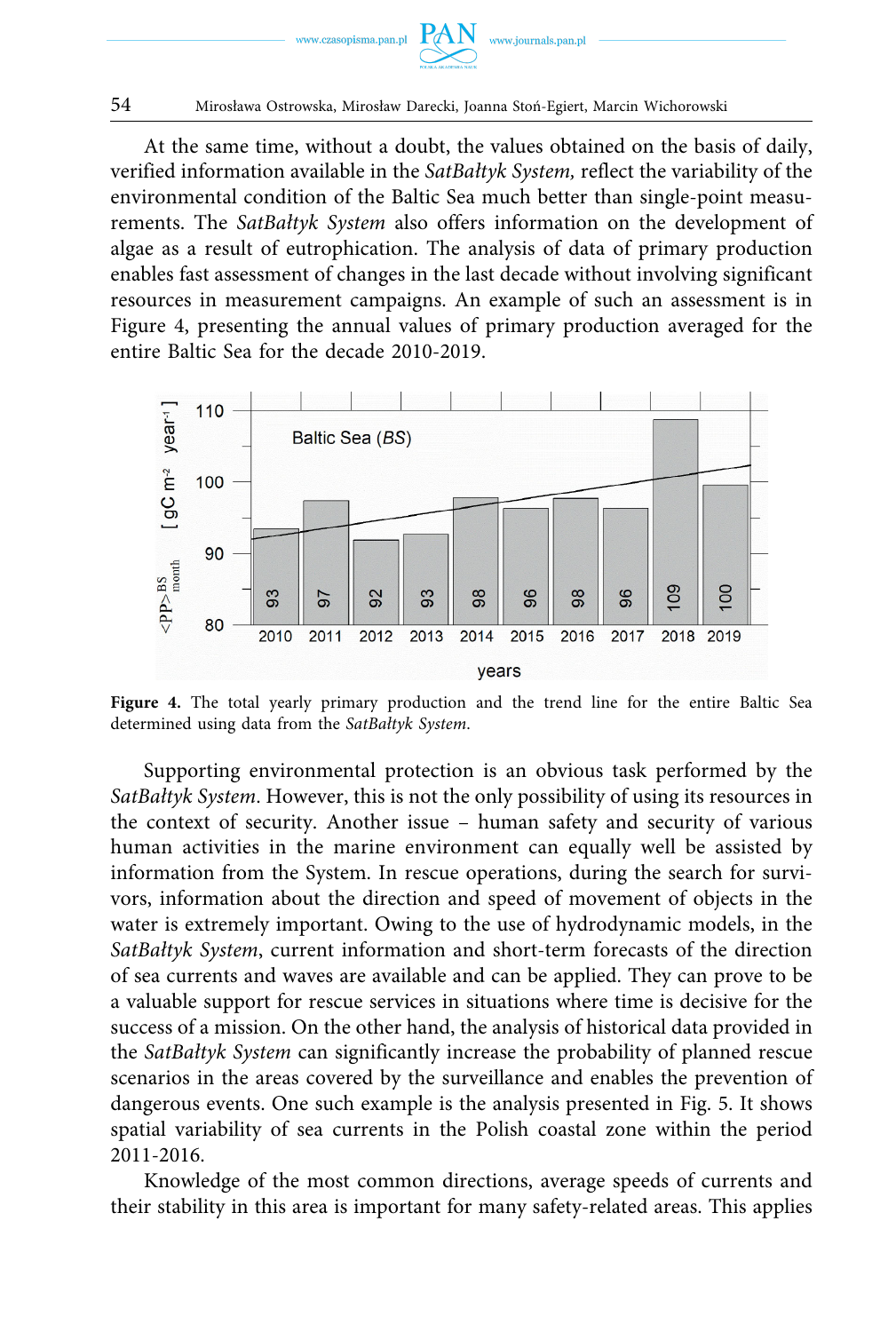

At the same time, without a doubt, the values obtained on the basis of daily, verified information available in the *SatBałtyk System,* reflect the variability of the environmental condition of the Baltic Sea much better than single-point measurements. The *SatBałtyk System* also offers information on the development of algae as a result of eutrophication. The analysis of data of primary production enables fast assessment of changes in the last decade without involving significant resources in measurement campaigns. An example of such an assessment is in Figure 4, presenting the annual values of primary production averaged for the entire Baltic Sea for the decade 2010-2019.



Figure 4. The total yearly primary production and the trend line for the entire Baltic Sea determined using data from the *SatBałtyk System*.

Supporting environmental protection is an obvious task performed by the *SatBałtyk System*. However, this is not the only possibility of using its resources in the context of security. Another issue – human safety and security of various human activities in the marine environment can equally well be assisted by information from the System. In rescue operations, during the search for survivors, information about the direction and speed of movement of objects in the water is extremely important. Owing to the use of hydrodynamic models, in the *SatBałtyk System*, current information and short-term forecasts of the direction of sea currents and waves are available and can be applied. They can prove to be a valuable support for rescue services in situations where time is decisive for the success of a mission. On the other hand, the analysis of historical data provided in the *SatBałtyk System* can significantly increase the probability of planned rescue scenarios in the areas covered by the surveillance and enables the prevention of dangerous events. One such example is the analysis presented in Fig. 5. It shows spatial variability of sea currents in the Polish coastal zone within the period 2011-2016.

Knowledge of the most common directions, average speeds of currents and their stability in this area is important for many safety-related areas. This applies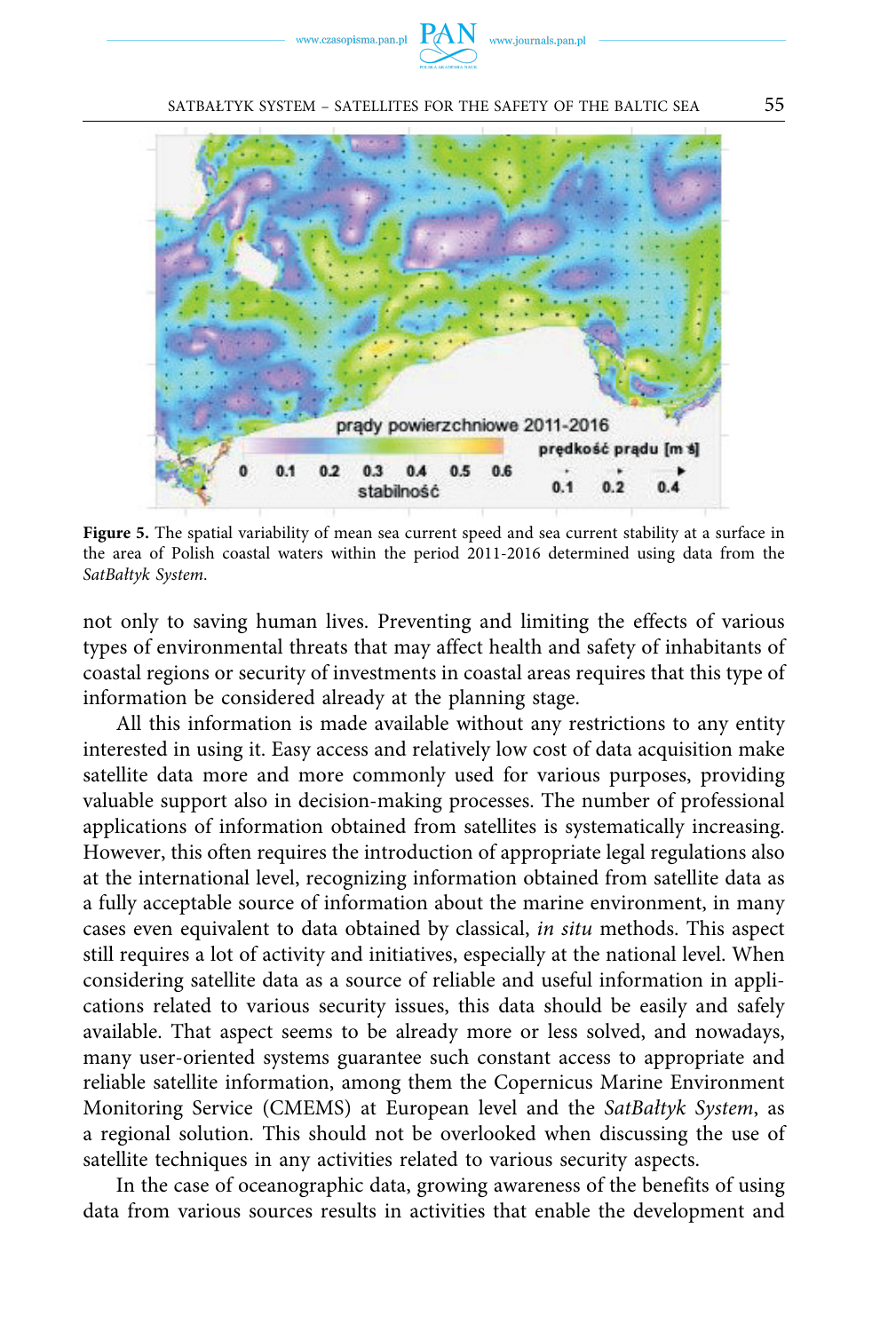

SATBAŁTYK SYSTEM – SATELLITES FOR THE SAFETY OF THE BALTIC SEA 55



**Figure 5.** The spatial variability of mean sea current speed and sea current stability at a surface in the area of Polish coastal waters within the period 2011-2016 determined using data from the *SatBałtyk System*.

not only to saving human lives. Preventing and limiting the effects of various types of environmental threats that may affect health and safety of inhabitants of coastal regions or security of investments in coastal areas requires that this type of information be considered already at the planning stage.

All this information is made available without any restrictions to any entity interested in using it. Easy access and relatively low cost of data acquisition make satellite data more and more commonly used for various purposes, providing valuable support also in decision-making processes. The number of professional applications of information obtained from satellites is systematically increasing. However, this often requires the introduction of appropriate legal regulations also at the international level, recognizing information obtained from satellite data as a fully acceptable source of information about the marine environment, in many cases even equivalent to data obtained by classical, *in situ* methods. This aspect still requires a lot of activity and initiatives, especially at the national level. When considering satellite data as a source of reliable and useful information in applications related to various security issues, this data should be easily and safely available. That aspect seems to be already more or less solved, and nowadays, many user-oriented systems guarantee such constant access to appropriate and reliable satellite information, among them the Copernicus Marine Environment Monitoring Service (CMEMS) at European level and the *SatBałtyk System*, as a regional solution. This should not be overlooked when discussing the use of satellite techniques in any activities related to various security aspects.

In the case of oceanographic data, growing awareness of the benefits of using data from various sources results in activities that enable the development and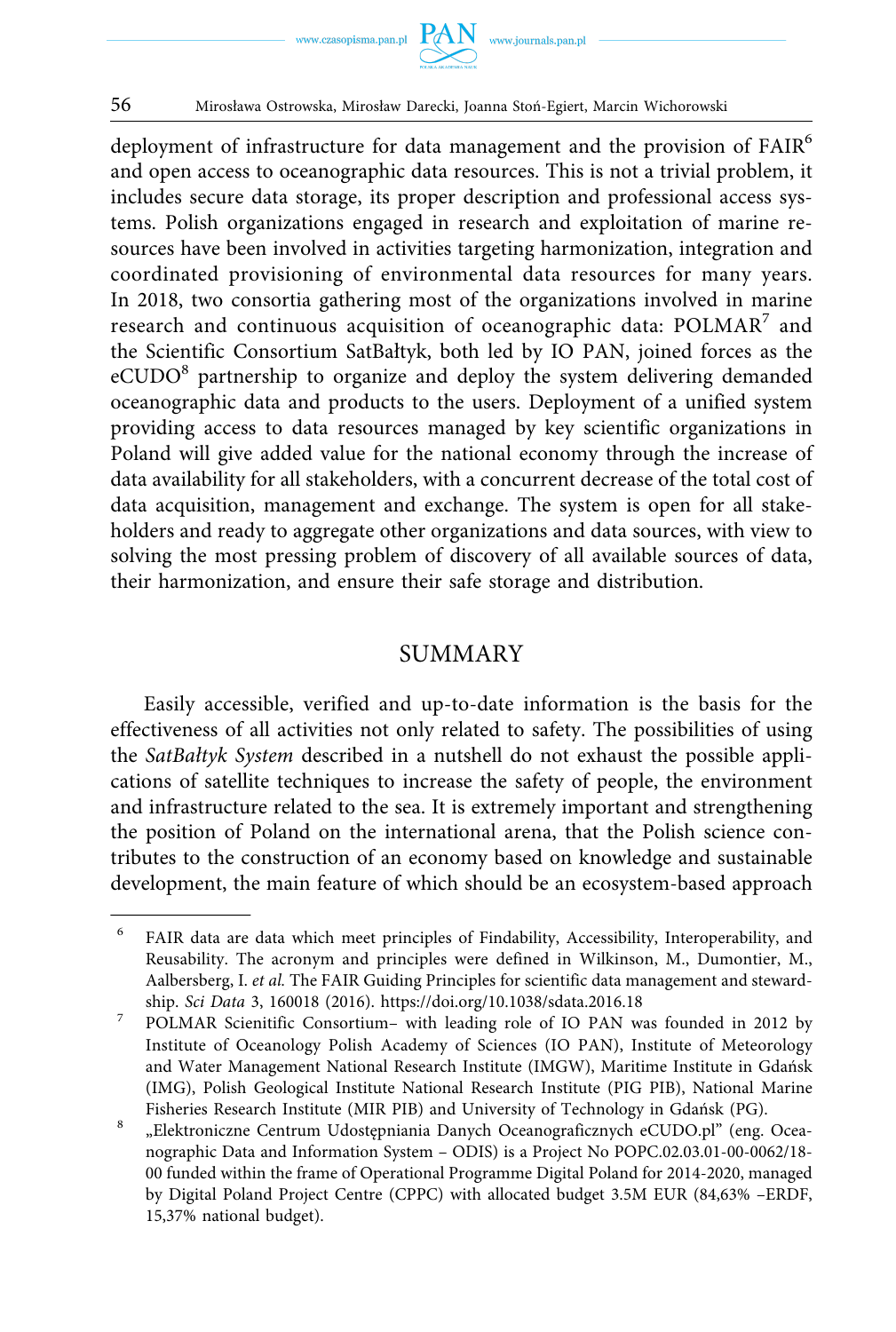

deployment of infrastructure for data management and the provision of FAIR<sup>6</sup> and open access to oceanographic data resources. This is not a trivial problem, it includes secure data storage, its proper description and professional access systems. Polish organizations engaged in research and exploitation of marine resources have been involved in activities targeting harmonization, integration and coordinated provisioning of environmental data resources for many years. In 2018, two consortia gathering most of the organizations involved in marine research and continuous acquisition of oceanographic data: POLMAR<sup>7</sup> and the Scientific Consortium SatBałtyk, both led by IO PAN, joined forces as the eCUDO<sup>8</sup> partnership to organize and deploy the system delivering demanded oceanographic data and products to the users. Deployment of a unified system providing access to data resources managed by key scientific organizations in Poland will give added value for the national economy through the increase of data availability for all stakeholders, with a concurrent decrease of the total cost of data acquisition, management and exchange. The system is open for all stakeholders and ready to aggregate other organizations and data sources, with view to solving the most pressing problem of discovery of all available sources of data, their harmonization, and ensure their safe storage and distribution.

### SUMMARY

Easily accessible, verified and up-to-date information is the basis for the effectiveness of all activities not only related to safety. The possibilities of using the *SatBałtyk System* described in a nutshell do not exhaust the possible applications of satellite techniques to increase the safety of people, the environment and infrastructure related to the sea. It is extremely important and strengthening the position of Poland on the international arena, that the Polish science contributes to the construction of an economy based on knowledge and sustainable development, the main feature of which should be an ecosystem-based approach

<sup>6</sup> FAIR data are data which meet principles of Findability, Accessibility, Interoperability, and Reusability. The acronym and principles were defined in Wilkinson, M., Dumontier, M., Aalbersberg, I. *et al.* The FAIR Guiding Principles for scientific data management and stewardship. *Sci Data* 3, 160018 (2016). <https://doi.org/10.1038/sdata.2016.18>7 POLMAR Scienitific Consortium– with leading role of IO PAN was founded in 2012 by

Institute of Oceanology Polish Academy of Sciences (IO PAN), Institute of Meteorology and Water Management National Research Institute (IMGW), Maritime Institute in Gdańsk (IMG), Polish Geological Institute National Research Institute (PIG PIB), National Marine Fisheries Research Institute (MIR PIB) and University of Technology in Gdańsk (PG).<br><sup>8</sup> "Elektroniczne Centrum Udostępniania Danych Oceanograficznych eCUDO.pl" (eng. Ocea-

nographic Data and Information System – ODIS) is a Project No POPC.02.03.01-00-0062/18- 00 funded within the frame of Operational Programme Digital Poland for 2014-2020, managed by Digital Poland Project Centre (CPPC) with allocated budget 3.5M EUR (84,63% –ERDF, 15,37% national budget).